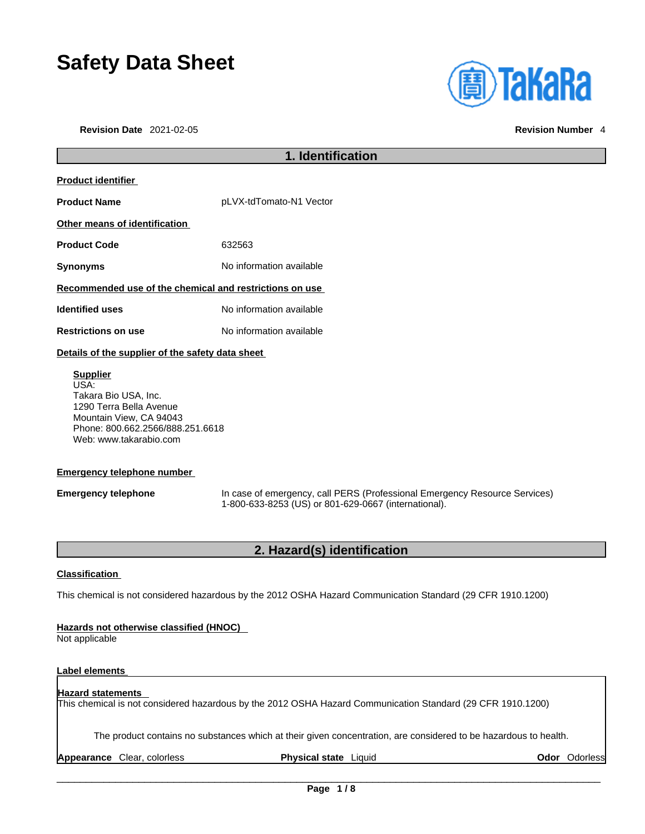# **Safety Data Sheet**

**Revision Date** 2021-02-05 **Revision Number** 4



## **1. Identification Product identifier Product Name** pLVX-tdTomato-N1 Vector **Other means of identification Product Code** 632563 **Synonyms** No information available **Recommended use of the chemical and restrictions on use Identified uses** No information available **Restrictions on use** No information available **Details of the supplier of the safety data sheet Supplier** USA: Takara Bio USA, Inc.

1290 Terra Bella Avenue Mountain View, CA 94043 Phone: 800.662.2566/888.251.6618 Web: www.takarabio.com

### **Emergency telephone number**

**Emergency telephone** In case of emergency, call PERS (Professional Emergency Resource Services) 1-800-633-8253 (US) or 801-629-0667 (international).

### **2. Hazard(s) identification**

### **Classification**

This chemical is not considered hazardous by the 2012 OSHA Hazard Communication Standard (29 CFR 1910.1200)

### **Hazards not otherwise classified (HNOC)**

Not applicable

### **Label elements**

### **Hazard statements**  This chemical is not considered hazardous by the 2012 OSHA Hazard Communication Standard (29 CFR 1910.1200)

The product contains no substances which at their given concentration, are considered to be hazardous to health.

**Appearance** Clear, colorless **Physical state** Liquid **Odor** Odorless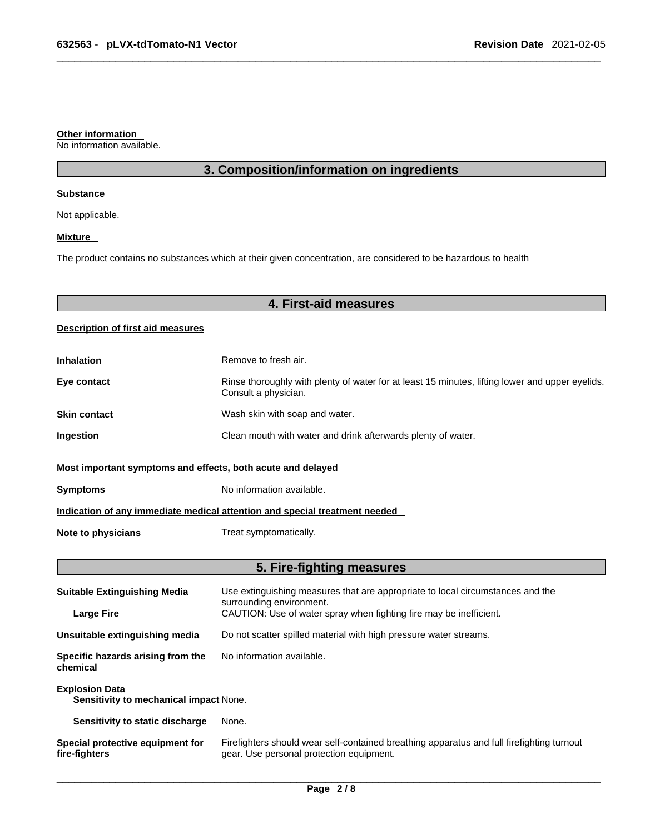#### **Other information**

No information available.

### **3. Composition/information on ingredients**

#### **Substance**

Not applicable.

### **Mixture**

The product contains no substances which at their given concentration, are considered to be hazardous to health

### **4. First-aid measures**

### **Description of first aid measures**

| <b>Inhalation</b>                                                          | Remove to fresh air.                                                                                                    |  |
|----------------------------------------------------------------------------|-------------------------------------------------------------------------------------------------------------------------|--|
| Eye contact                                                                | Rinse thoroughly with plenty of water for at least 15 minutes, lifting lower and upper eyelids.<br>Consult a physician. |  |
| <b>Skin contact</b>                                                        | Wash skin with soap and water.                                                                                          |  |
| Ingestion                                                                  | Clean mouth with water and drink afterwards plenty of water.                                                            |  |
| Most important symptoms and effects, both acute and delayed                |                                                                                                                         |  |
| <b>Symptoms</b>                                                            | No information available.                                                                                               |  |
| Indication of any immediate medical attention and special treatment needed |                                                                                                                         |  |
| Note to physicians                                                         | Treat symptomatically.                                                                                                  |  |

### **5. Fire-fighting measures**

| <b>Suitable Extinguishing Media</b>                             | Use extinguishing measures that are appropriate to local circumstances and the<br>surrounding environment.                            |  |
|-----------------------------------------------------------------|---------------------------------------------------------------------------------------------------------------------------------------|--|
| <b>Large Fire</b>                                               | CAUTION: Use of water spray when fighting fire may be inefficient.                                                                    |  |
| Unsuitable extinguishing media                                  | Do not scatter spilled material with high pressure water streams.                                                                     |  |
| Specific hazards arising from the<br>chemical                   | No information available.                                                                                                             |  |
| <b>Explosion Data</b><br>Sensitivity to mechanical impact None. |                                                                                                                                       |  |
| Sensitivity to static discharge                                 | None.                                                                                                                                 |  |
| Special protective equipment for<br>fire-fighters               | Firefighters should wear self-contained breathing apparatus and full firefighting turnout<br>gear. Use personal protection equipment. |  |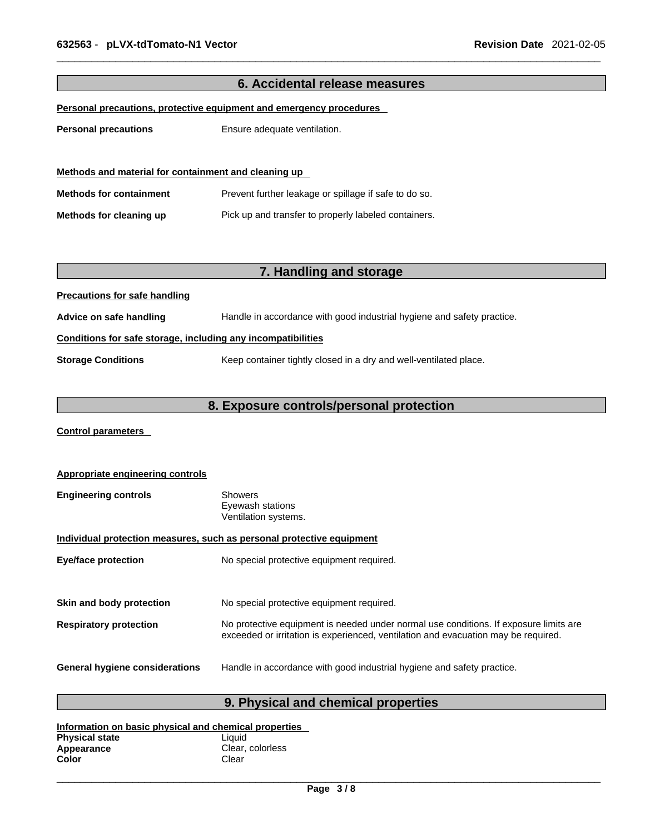| 6. Accidental release measures                                      |                                                                        |  |
|---------------------------------------------------------------------|------------------------------------------------------------------------|--|
| Personal precautions, protective equipment and emergency procedures |                                                                        |  |
| <b>Personal precautions</b>                                         | Ensure adequate ventilation.                                           |  |
|                                                                     |                                                                        |  |
| Methods and material for containment and cleaning up                |                                                                        |  |
| <b>Methods for containment</b>                                      | Prevent further leakage or spillage if safe to do so.                  |  |
| Methods for cleaning up                                             | Pick up and transfer to properly labeled containers.                   |  |
|                                                                     |                                                                        |  |
|                                                                     |                                                                        |  |
|                                                                     | 7. Handling and storage                                                |  |
| <b>Precautions for safe handling</b>                                |                                                                        |  |
| Advice on safe handling                                             | Handle in accordance with good industrial hygiene and safety practice. |  |
| Conditions for safe storage, including any incompatibilities        |                                                                        |  |
| <b>Storage Conditions</b>                                           | Keep container tightly closed in a dry and well-ventilated place.      |  |
|                                                                     |                                                                        |  |
| 8. Exposure controls/personal protection                            |                                                                        |  |

**Control parameters** 

| Appropriate engineering controls                                      |                                                                                                                                                                             |  |
|-----------------------------------------------------------------------|-----------------------------------------------------------------------------------------------------------------------------------------------------------------------------|--|
| <b>Engineering controls</b>                                           | Showers<br>Eyewash stations<br>Ventilation systems.                                                                                                                         |  |
| Individual protection measures, such as personal protective equipment |                                                                                                                                                                             |  |
| <b>Eye/face protection</b>                                            | No special protective equipment required.                                                                                                                                   |  |
| Skin and body protection                                              | No special protective equipment required.                                                                                                                                   |  |
| <b>Respiratory protection</b>                                         | No protective equipment is needed under normal use conditions. If exposure limits are<br>exceeded or irritation is experienced, ventilation and evacuation may be required. |  |
| <b>General hygiene considerations</b>                                 | Handle in accordance with good industrial hygiene and safety practice.                                                                                                      |  |

### **9. Physical and chemical properties**

| Information on basic physical and chemical properties |                  |  |
|-------------------------------------------------------|------------------|--|
| <b>Physical state</b>                                 | Liauid           |  |
| Appearance                                            | Clear, colorless |  |
| Color                                                 | Clear            |  |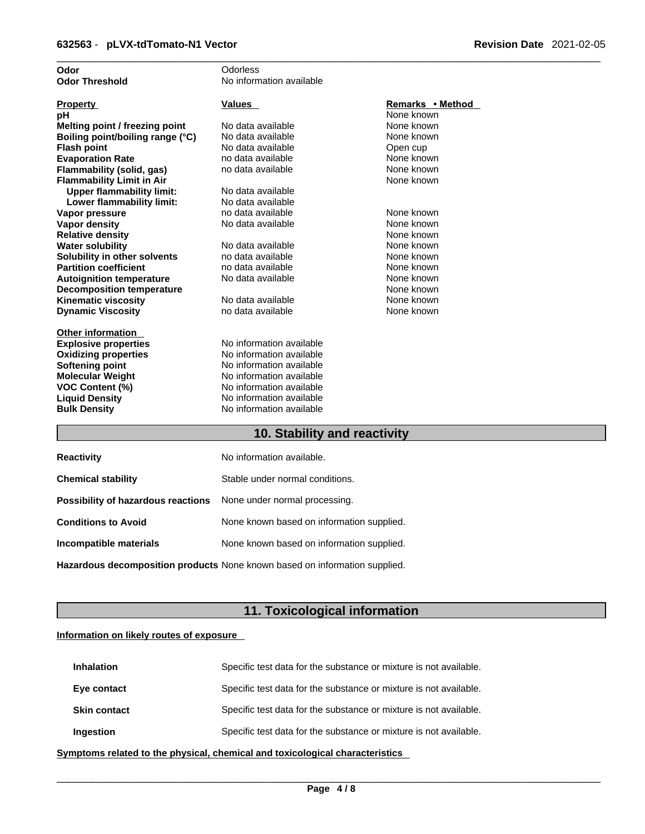| Odor                             | Odorless                 |                  |
|----------------------------------|--------------------------|------------------|
| <b>Odor Threshold</b>            | No information available |                  |
|                                  |                          |                  |
| <b>Property</b>                  | <b>Values</b>            | Remarks • Method |
| pH                               |                          | None known       |
| Melting point / freezing point   | No data available        | None known       |
| Boiling point/boiling range (°C) | No data available        | None known       |
| <b>Flash point</b>               | No data available        | Open cup         |
| <b>Evaporation Rate</b>          | no data available        | None known       |
| Flammability (solid, gas)        | no data available        | None known       |
| <b>Flammability Limit in Air</b> |                          | None known       |
| <b>Upper flammability limit:</b> | No data available        |                  |
| Lower flammability limit:        | No data available        |                  |
| Vapor pressure                   | no data available        | None known       |
| <b>Vapor density</b>             | No data available        | None known       |
| <b>Relative density</b>          |                          | None known       |
| <b>Water solubility</b>          | No data available        | None known       |
| Solubility in other solvents     | no data available        | None known       |
| <b>Partition coefficient</b>     | no data available        | None known       |
| <b>Autoignition temperature</b>  | No data available        | None known       |
| <b>Decomposition temperature</b> |                          | None known       |
| <b>Kinematic viscosity</b>       | No data available        | None known       |
| <b>Dynamic Viscosity</b>         | no data available        | None known       |
|                                  |                          |                  |
| <b>Other information</b>         |                          |                  |
| <b>Explosive properties</b>      | No information available |                  |
| <b>Oxidizing properties</b>      | No information available |                  |
| Softening point                  | No information available |                  |
| <b>Molecular Weight</b>          | No information available |                  |
| <b>VOC Content (%)</b>           | No information available |                  |
| <b>Liquid Density</b>            | No information available |                  |
| <b>Bulk Density</b>              | No information available |                  |
|                                  |                          |                  |

### **10. Stability and reactivity**

| <b>Reactivity</b>                                                       | No information available.                 |
|-------------------------------------------------------------------------|-------------------------------------------|
| <b>Chemical stability</b>                                               | Stable under normal conditions.           |
| <b>Possibility of hazardous reactions</b> None under normal processing. |                                           |
| <b>Conditions to Avoid</b>                                              | None known based on information supplied. |
| Incompatible materials                                                  | None known based on information supplied. |
|                                                                         |                                           |

**Hazardous decomposition products** None known based on information supplied.

### **11. Toxicological information**

### **Information on likely routes of exposure**

| <b>Inhalation</b>   | Specific test data for the substance or mixture is not available. |
|---------------------|-------------------------------------------------------------------|
| Eye contact         | Specific test data for the substance or mixture is not available. |
| <b>Skin contact</b> | Specific test data for the substance or mixture is not available. |
| Ingestion           | Specific test data for the substance or mixture is not available. |

**<u>Symptoms related to the physical, chemical and toxicological characteristics</u>**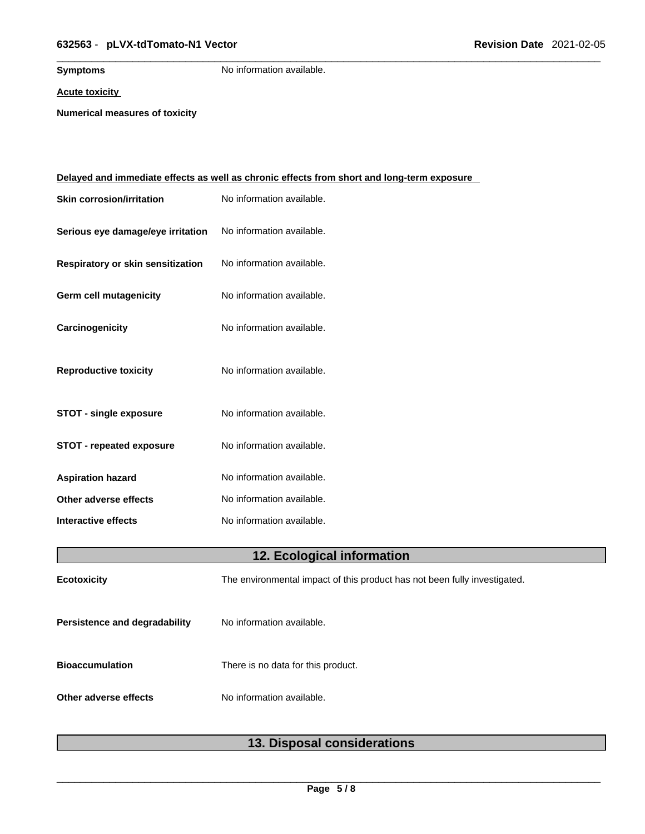### \_\_\_\_\_\_\_\_\_\_\_\_\_\_\_\_\_\_\_\_\_\_\_\_\_\_\_\_\_\_\_\_\_\_\_\_\_\_\_\_\_\_\_\_\_\_\_\_\_\_\_\_\_\_\_\_\_\_\_\_\_\_\_\_\_\_\_\_\_\_\_\_\_\_\_\_\_\_\_\_\_\_\_\_\_\_\_\_\_\_\_\_\_ **632563** - **pLVX-tdTomato-N1 Vector Revision Date** 2021-02-05

**Symptoms** No information available.

**Acute toxicity**

**Numerical measures of toxicity**

|                                   | <u>Delayed and immediate effects as well as chronic effects from short and long-term exposure</u> |
|-----------------------------------|---------------------------------------------------------------------------------------------------|
| <b>Skin corrosion/irritation</b>  | No information available.                                                                         |
| Serious eye damage/eye irritation | No information available.                                                                         |
| Respiratory or skin sensitization | No information available.                                                                         |
| Germ cell mutagenicity            | No information available.                                                                         |
| Carcinogenicity                   | No information available.                                                                         |
| <b>Reproductive toxicity</b>      | No information available.                                                                         |
| <b>STOT - single exposure</b>     | No information available.                                                                         |
| <b>STOT - repeated exposure</b>   | No information available.                                                                         |
| <b>Aspiration hazard</b>          | No information available.                                                                         |
| Other adverse effects             | No information available.                                                                         |
| Interactive effects               | No information available.                                                                         |
|                                   | 12. Ecological information                                                                        |
| <b>Ecotoxicity</b>                | The environmental impact of this product has not been fully investigated.                         |
| Persistence and degradability     | No information available.                                                                         |
| <b>Bioaccumulation</b>            | There is no data for this product.                                                                |
| Other adverse effects             | No information available.                                                                         |
|                                   |                                                                                                   |

### **13. Disposal considerations**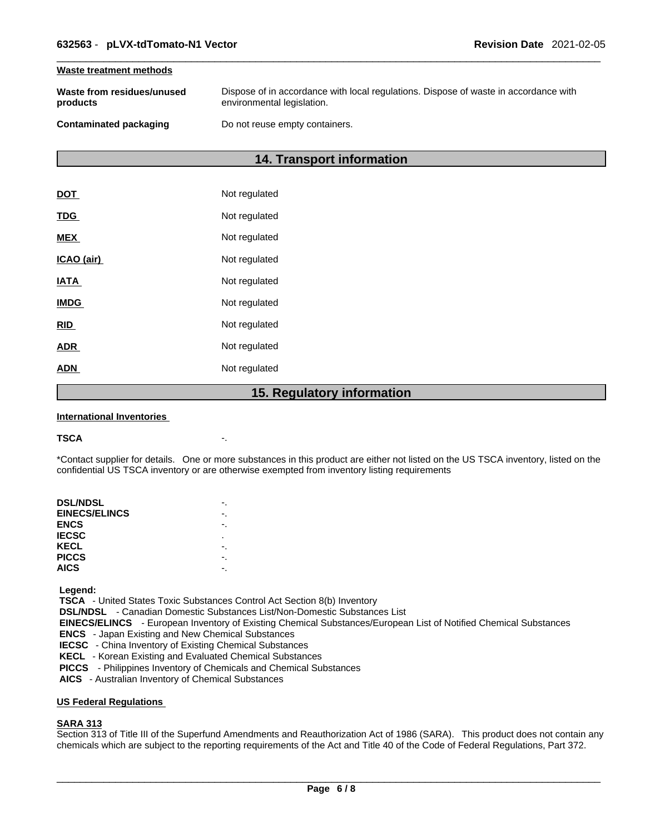#### **Waste treatment methods**

| Waste from residues/unused    | Dispose of in accordance with local regulations. Dispose of waste in accordance with |
|-------------------------------|--------------------------------------------------------------------------------------|
| products                      | environmental legislation.                                                           |
| <b>Contaminated packaging</b> | Do not reuse empty containers.                                                       |

### **14. Transport information**

|             | 1 F<br><b>Dogulator</b> |
|-------------|-------------------------|
| <b>ADN</b>  | Not regulated           |
| <b>ADR</b>  | Not regulated           |
| <b>RID</b>  | Not regulated           |
| <b>IMDG</b> | Not regulated           |
| <b>IATA</b> | Not regulated           |
| ICAO (air)  | Not regulated           |
| <b>MEX</b>  | Not regulated           |
| <b>TDG</b>  | Not regulated           |
| <b>DOT</b>  | Not regulated           |

### **15. Regulatory information**

#### **International Inventories**

#### **TSCA** -.

\*Contact supplier for details. One or more substances in this product are either not listed on the US TSCA inventory, listed on the confidential US TSCA inventory or are otherwise exempted from inventory listing requirements

| <b>DSL/NDSL</b>      |   |
|----------------------|---|
| <b>EINECS/ELINCS</b> |   |
| <b>ENCS</b>          |   |
| <b>IECSC</b>         | ٠ |
| KECL                 |   |
| <b>PICCS</b>         |   |
| <b>AICS</b>          |   |
|                      |   |

 **Legend:** 

 **TSCA** - United States Toxic Substances Control Act Section 8(b) Inventory

 **DSL/NDSL** - Canadian Domestic Substances List/Non-Domestic Substances List

 **EINECS/ELINCS** - European Inventory of Existing Chemical Substances/European List of Notified Chemical Substances

 **ENCS** - Japan Existing and New Chemical Substances

 **IECSC** - China Inventory of Existing Chemical Substances

 **KECL** - Korean Existing and Evaluated Chemical Substances

 **PICCS** - Philippines Inventory of Chemicals and Chemical Substances

 **AICS** - Australian Inventory of Chemical Substances

### **US Federal Regulations**

#### **SARA 313**

Section 313 of Title III of the Superfund Amendments and Reauthorization Act of 1986 (SARA). This product does not contain any chemicals which are subject to the reporting requirements of the Act and Title 40 of the Code of Federal Regulations, Part 372.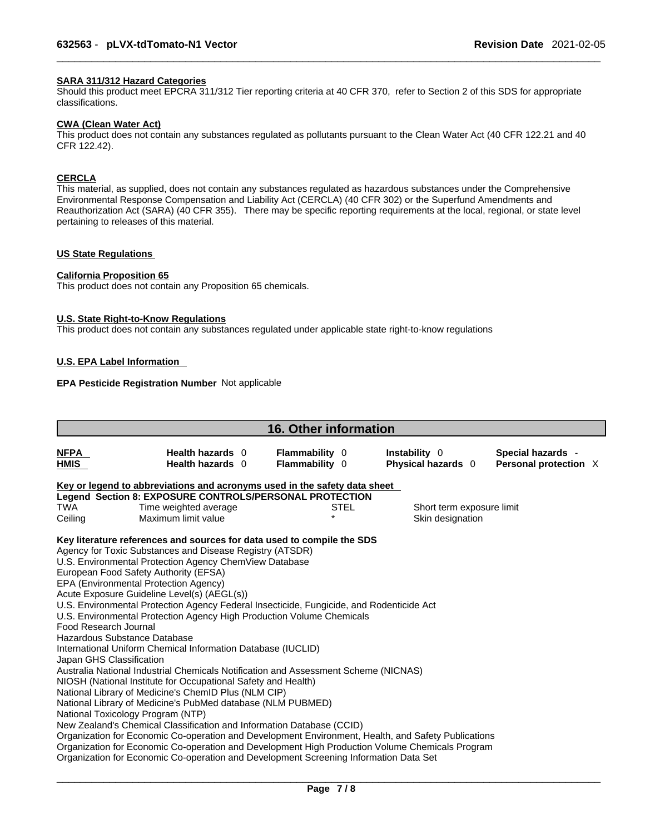### **SARA 311/312 Hazard Categories**

Should this product meet EPCRA 311/312 Tier reporting criteria at 40 CFR 370, refer to Section 2 of this SDS for appropriate classifications.

#### **CWA (Clean WaterAct)**

This product does not contain any substances regulated as pollutants pursuant to the Clean Water Act (40 CFR 122.21 and 40 CFR 122.42).

### **CERCLA**

This material, as supplied, does not contain any substances regulated as hazardous substances under the Comprehensive Environmental Response Compensation and Liability Act (CERCLA) (40 CFR 302) or the Superfund Amendments and Reauthorization Act (SARA) (40 CFR 355). There may be specific reporting requirements at the local, regional, or state level pertaining to releases of this material.

### **US State Regulations**

#### **California Proposition 65**

This product does not contain any Proposition 65 chemicals.

#### **U.S. State Right-to-Know Regulations**

This product does not contain any substances regulated under applicable state right-to-know regulations

### **U.S. EPA Label Information**

### **EPA Pesticide Registration Number** Not applicable